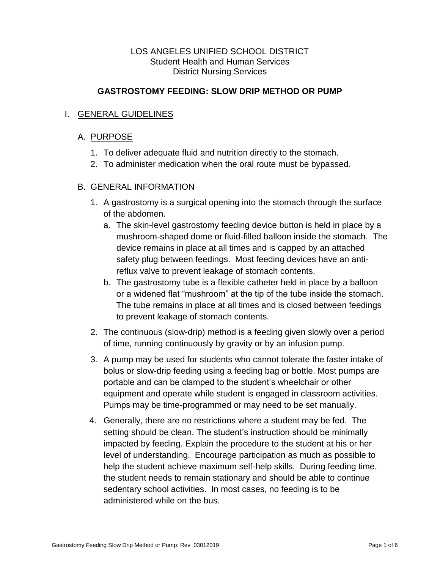## LOS ANGELES UNIFIED SCHOOL DISTRICT Student Health and Human Services District Nursing Services

# **GASTROSTOMY FEEDING: SLOW DRIP METHOD OR PUMP**

# I. GENERAL GUIDELINES

## A. PURPOSE

- 1. To deliver adequate fluid and nutrition directly to the stomach.
- 2. To administer medication when the oral route must be bypassed.

## B. GENERAL INFORMATION

- 1. A gastrostomy is a surgical opening into the stomach through the surface of the abdomen.
	- a. The skin-level gastrostomy feeding device button is held in place by a mushroom-shaped dome or fluid-filled balloon inside the stomach. The device remains in place at all times and is capped by an attached safety plug between feedings. Most feeding devices have an antireflux valve to prevent leakage of stomach contents.
	- b. The gastrostomy tube is a flexible catheter held in place by a balloon or a widened flat "mushroom" at the tip of the tube inside the stomach. The tube remains in place at all times and is closed between feedings to prevent leakage of stomach contents.
- 2. The continuous (slow-drip) method is a feeding given slowly over a period of time, running continuously by gravity or by an infusion pump.
- 3. A pump may be used for students who cannot tolerate the faster intake of bolus or slow-drip feeding using a feeding bag or bottle. Most pumps are portable and can be clamped to the student's wheelchair or other equipment and operate while student is engaged in classroom activities. Pumps may be time-programmed or may need to be set manually.
- 4. Generally, there are no restrictions where a student may be fed. The setting should be clean. The student's instruction should be minimally impacted by feeding. Explain the procedure to the student at his or her level of understanding. Encourage participation as much as possible to help the student achieve maximum self-help skills. During feeding time, the student needs to remain stationary and should be able to continue sedentary school activities. In most cases, no feeding is to be administered while on the bus.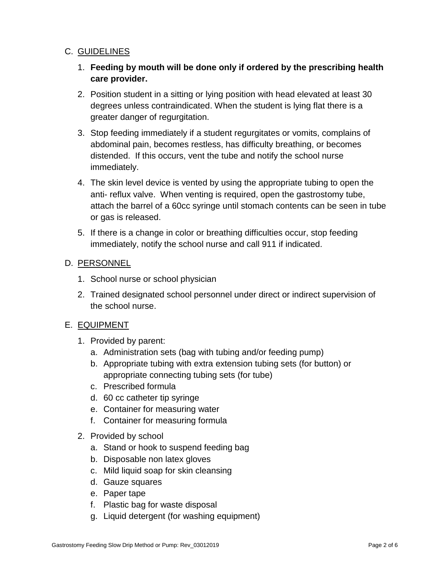# C. GUIDELINES

- 1. **Feeding by mouth will be done only if ordered by the prescribing health care provider.**
- 2. Position student in a sitting or lying position with head elevated at least 30 degrees unless contraindicated. When the student is lying flat there is a greater danger of regurgitation.
- 3. Stop feeding immediately if a student regurgitates or vomits, complains of abdominal pain, becomes restless, has difficulty breathing, or becomes distended. If this occurs, vent the tube and notify the school nurse immediately.
- 4. The skin level device is vented by using the appropriate tubing to open the anti- reflux valve. When venting is required, open the gastrostomy tube, attach the barrel of a 60cc syringe until stomach contents can be seen in tube or gas is released.
- 5. If there is a change in color or breathing difficulties occur, stop feeding immediately, notify the school nurse and call 911 if indicated.

## D. PERSONNEL

- 1. School nurse or school physician
- 2. Trained designated school personnel under direct or indirect supervision of the school nurse.

## E. EQUIPMENT

- 1. Provided by parent:
	- a. Administration sets (bag with tubing and/or feeding pump)
	- b. Appropriate tubing with extra extension tubing sets (for button) or appropriate connecting tubing sets (for tube)
	- c. Prescribed formula
	- d. 60 cc catheter tip syringe
	- e. Container for measuring water
	- f. Container for measuring formula
- 2. Provided by school
	- a. Stand or hook to suspend feeding bag
	- b. Disposable non latex gloves
	- c. Mild liquid soap for skin cleansing
	- d. Gauze squares
	- e. Paper tape
	- f. Plastic bag for waste disposal
	- g. Liquid detergent (for washing equipment)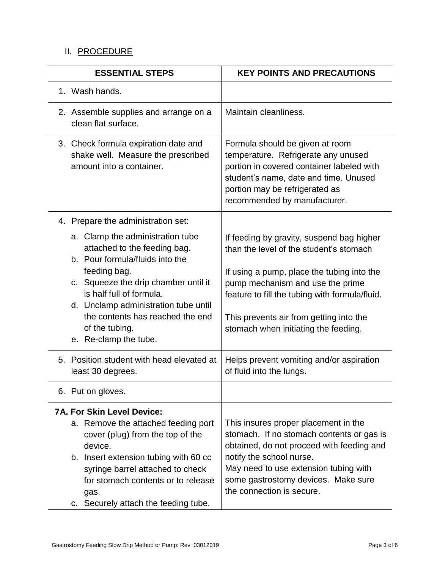# II. PROCEDURE

| <b>ESSENTIAL STEPS</b>                                                                                                                                                                                                                                                                     | <b>KEY POINTS AND PRECAUTIONS</b>                                                                                                                                                                                                                                       |
|--------------------------------------------------------------------------------------------------------------------------------------------------------------------------------------------------------------------------------------------------------------------------------------------|-------------------------------------------------------------------------------------------------------------------------------------------------------------------------------------------------------------------------------------------------------------------------|
| 1. Wash hands.                                                                                                                                                                                                                                                                             |                                                                                                                                                                                                                                                                         |
| 2. Assemble supplies and arrange on a<br>clean flat surface.                                                                                                                                                                                                                               | Maintain cleanliness.                                                                                                                                                                                                                                                   |
| 3. Check formula expiration date and<br>shake well. Measure the prescribed<br>amount into a container.                                                                                                                                                                                     | Formula should be given at room<br>temperature. Refrigerate any unused<br>portion in covered container labeled with<br>student's name, date and time. Unused<br>portion may be refrigerated as<br>recommended by manufacturer.                                          |
| 4. Prepare the administration set:                                                                                                                                                                                                                                                         |                                                                                                                                                                                                                                                                         |
| a. Clamp the administration tube<br>attached to the feeding bag.<br>b. Pour formula/fluids into the<br>feeding bag.<br>c. Squeeze the drip chamber until it<br>is half full of formula.                                                                                                    | If feeding by gravity, suspend bag higher<br>than the level of the student's stomach<br>If using a pump, place the tubing into the<br>pump mechanism and use the prime<br>feature to fill the tubing with formula/fluid.                                                |
| d. Unclamp administration tube until<br>the contents has reached the end<br>of the tubing.<br>e. Re-clamp the tube.                                                                                                                                                                        | This prevents air from getting into the<br>stomach when initiating the feeding.                                                                                                                                                                                         |
| 5. Position student with head elevated at<br>least 30 degrees.                                                                                                                                                                                                                             | Helps prevent vomiting and/or aspiration<br>of fluid into the lungs.                                                                                                                                                                                                    |
| 6. Put on gloves.                                                                                                                                                                                                                                                                          |                                                                                                                                                                                                                                                                         |
| <b>7A. For Skin Level Device:</b><br>a. Remove the attached feeding port<br>cover (plug) from the top of the<br>device.<br>b. Insert extension tubing with 60 cc<br>syringe barrel attached to check<br>for stomach contents or to release<br>gas.<br>c. Securely attach the feeding tube. | This insures proper placement in the<br>stomach. If no stomach contents or gas is<br>obtained, do not proceed with feeding and<br>notify the school nurse.<br>May need to use extension tubing with<br>some gastrostomy devices. Make sure<br>the connection is secure. |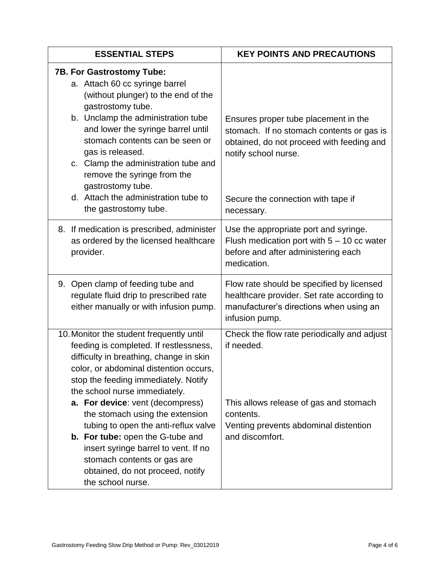| <b>ESSENTIAL STEPS</b>                                                                                                                                                                                                                                                                                                                                        | <b>KEY POINTS AND PRECAUTIONS</b>                                                                                                                      |
|---------------------------------------------------------------------------------------------------------------------------------------------------------------------------------------------------------------------------------------------------------------------------------------------------------------------------------------------------------------|--------------------------------------------------------------------------------------------------------------------------------------------------------|
| <b>7B. For Gastrostomy Tube:</b><br>a. Attach 60 cc syringe barrel<br>(without plunger) to the end of the<br>gastrostomy tube.<br>b. Unclamp the administration tube<br>and lower the syringe barrel until<br>stomach contents can be seen or<br>gas is released.<br>c. Clamp the administration tube and<br>remove the syringe from the<br>gastrostomy tube. | Ensures proper tube placement in the<br>stomach. If no stomach contents or gas is<br>obtained, do not proceed with feeding and<br>notify school nurse. |
| d. Attach the administration tube to<br>the gastrostomy tube.                                                                                                                                                                                                                                                                                                 | Secure the connection with tape if<br>necessary.                                                                                                       |
| 8. If medication is prescribed, administer<br>as ordered by the licensed healthcare<br>provider.                                                                                                                                                                                                                                                              | Use the appropriate port and syringe.<br>Flush medication port with $5 - 10$ cc water<br>before and after administering each<br>medication.            |
| 9. Open clamp of feeding tube and<br>regulate fluid drip to prescribed rate<br>either manually or with infusion pump.                                                                                                                                                                                                                                         | Flow rate should be specified by licensed<br>healthcare provider. Set rate according to<br>manufacturer's directions when using an<br>infusion pump.   |
| 10. Monitor the student frequently until<br>feeding is completed. If restlessness,<br>difficulty in breathing, change in skin<br>color, or abdominal distention occurs,<br>stop the feeding immediately. Notify<br>the school nurse immediately.<br>a. For device: vent (decompress)                                                                          | Check the flow rate periodically and adjust<br>if needed.<br>This allows release of gas and stomach                                                    |
| the stomach using the extension<br>tubing to open the anti-reflux valve                                                                                                                                                                                                                                                                                       | contents.<br>Venting prevents abdominal distention                                                                                                     |
| <b>b.</b> For tube: open the G-tube and<br>insert syringe barrel to vent. If no<br>stomach contents or gas are<br>obtained, do not proceed, notify<br>the school nurse.                                                                                                                                                                                       | and discomfort.                                                                                                                                        |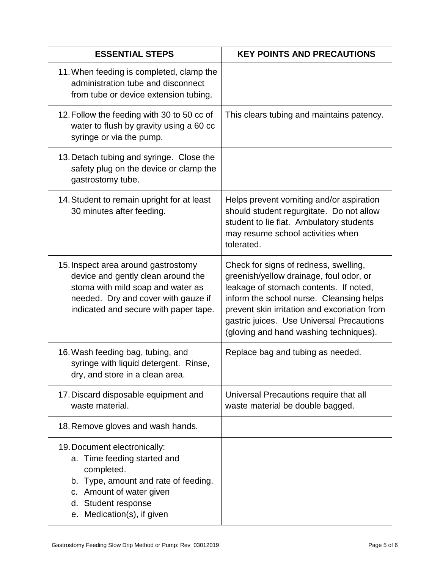| <b>ESSENTIAL STEPS</b>                                                                                                                                                                                | <b>KEY POINTS AND PRECAUTIONS</b>                                                                                                                                                                                                                                                                             |
|-------------------------------------------------------------------------------------------------------------------------------------------------------------------------------------------------------|---------------------------------------------------------------------------------------------------------------------------------------------------------------------------------------------------------------------------------------------------------------------------------------------------------------|
| 11. When feeding is completed, clamp the<br>administration tube and disconnect<br>from tube or device extension tubing.                                                                               |                                                                                                                                                                                                                                                                                                               |
| 12. Follow the feeding with 30 to 50 cc of<br>water to flush by gravity using a 60 cc<br>syringe or via the pump.                                                                                     | This clears tubing and maintains patency.                                                                                                                                                                                                                                                                     |
| 13. Detach tubing and syringe. Close the<br>safety plug on the device or clamp the<br>gastrostomy tube.                                                                                               |                                                                                                                                                                                                                                                                                                               |
| 14. Student to remain upright for at least<br>30 minutes after feeding.                                                                                                                               | Helps prevent vomiting and/or aspiration<br>should student regurgitate. Do not allow<br>student to lie flat. Ambulatory students<br>may resume school activities when<br>tolerated.                                                                                                                           |
| 15. Inspect area around gastrostomy<br>device and gently clean around the<br>stoma with mild soap and water as<br>needed. Dry and cover with gauze if<br>indicated and secure with paper tape.        | Check for signs of redness, swelling,<br>greenish/yellow drainage, foul odor, or<br>leakage of stomach contents. If noted,<br>inform the school nurse. Cleansing helps<br>prevent skin irritation and excoriation from<br>gastric juices. Use Universal Precautions<br>(gloving and hand washing techniques). |
| 16. Wash feeding bag, tubing, and<br>syringe with liquid detergent. Rinse,<br>dry, and store in a clean area.                                                                                         | Replace bag and tubing as needed.                                                                                                                                                                                                                                                                             |
| 17. Discard disposable equipment and<br>waste material.                                                                                                                                               | Universal Precautions require that all<br>waste material be double bagged.                                                                                                                                                                                                                                    |
| 18. Remove gloves and wash hands.                                                                                                                                                                     |                                                                                                                                                                                                                                                                                                               |
| 19. Document electronically:<br>a. Time feeding started and<br>completed.<br>b. Type, amount and rate of feeding.<br>c. Amount of water given<br>d. Student response<br>Medication(s), if given<br>е. |                                                                                                                                                                                                                                                                                                               |